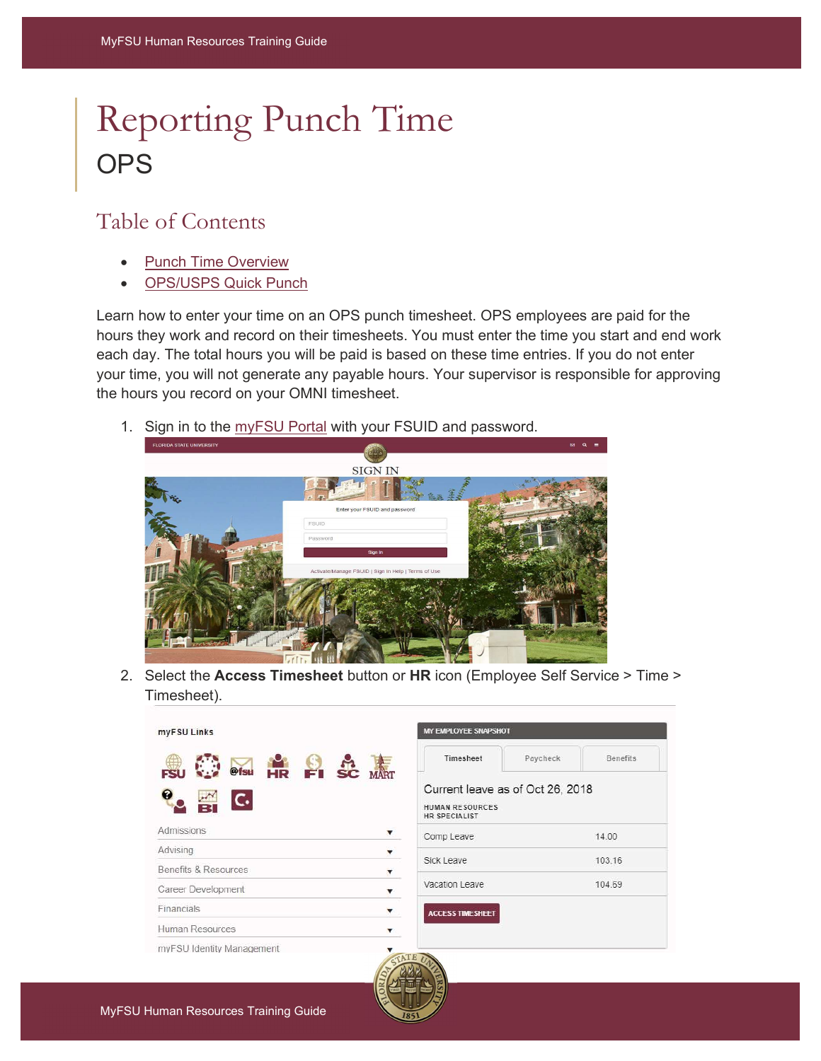# Reporting Punch Time **OPS**

## Table of Contents

- Punch Time Overview
- OPS/USPS Quick Punch

Learn how to enter your time on an OPS punch timesheet. OPS employees are paid for the hours they work and record on their timesheets. You must enter the time you start and end work each day. The total hours you will be paid is based on these time entries. If you do not enter your time, you will not generate any payable hours. Your supervisor is responsible for approving the hours you record on your OMNI timesheet.

1. Sign in to the myFSU Portal with your FSUID and password.



2. Select the Access Timesheet button or HR icon (Employee Self Service > Time > Timesheet).

**IOT** 

Paycheck

as of Oct 26, 2018

**Benefits** 

14.00 103.16 104.69

| myFSU Links                     | <b>MY EMPLOYEE SNAPS</b>                                        |
|---------------------------------|-----------------------------------------------------------------|
| HR EI SC MAT<br>@fsu            | Timesheet                                                       |
| G<br>C.                         | Current leave<br><b>HUMAN RESOURCE:</b><br><b>HR SPECIALIST</b> |
| Admissions                      | Comp Leave                                                      |
| Advising                        | Sick Leave                                                      |
| <b>Benefits &amp; Resources</b> |                                                                 |
| Career Development              | Vacation Leave                                                  |
| Financials                      | <b>ACCESS TIMESHEET</b>                                         |
| Human Resources                 |                                                                 |
| myFSU Identity Management       |                                                                 |
| STATE                           |                                                                 |

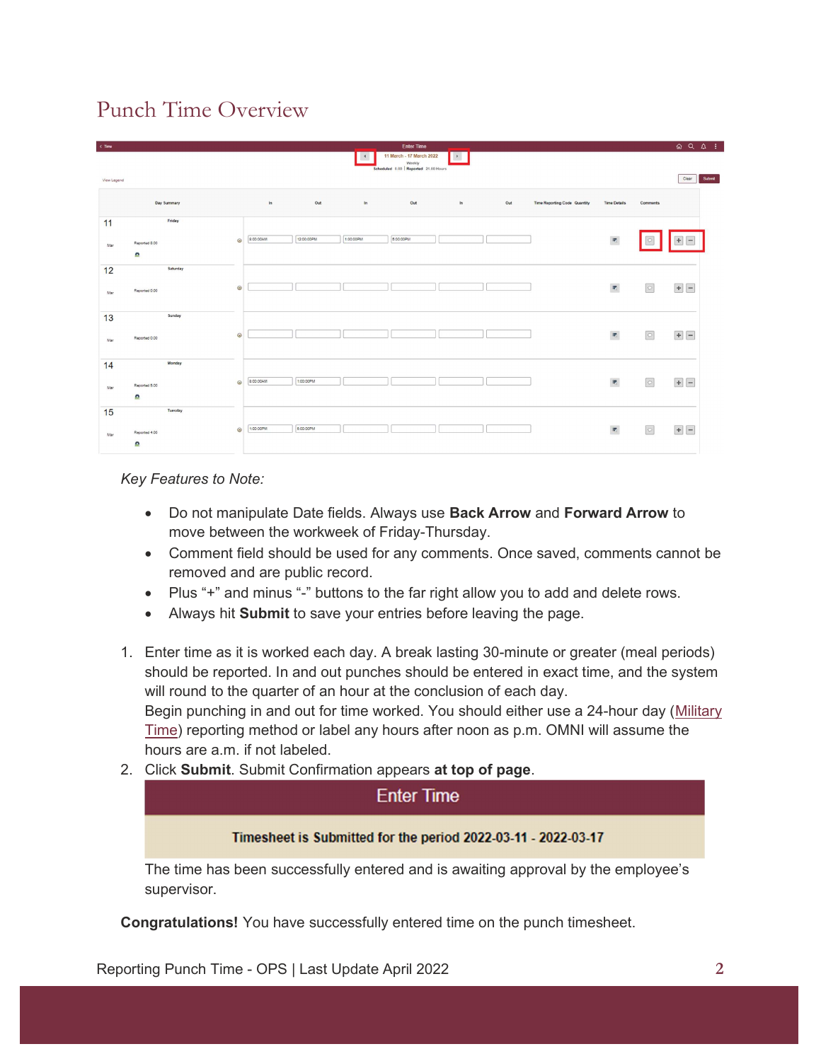## Punch Time Overview

| $\epsilon$ Time |                     |         |           |            |                      | <b>Enter Time</b>                   |               |     |                                     |                           |          | $QQ$ $Q$ :            |
|-----------------|---------------------|---------|-----------|------------|----------------------|-------------------------------------|---------------|-----|-------------------------------------|---------------------------|----------|-----------------------|
|                 |                     |         |           |            | $\blacktriangleleft$ | 11 March - 17 March 2022<br>Weekly  | $\mathcal{F}$ |     |                                     |                           |          |                       |
| View Legend     |                     |         |           |            |                      | Scheduled 0.00 Reported 21.00 Hours |               |     |                                     |                           |          | Clear<br>Submit       |
|                 | Day Summary         |         | In        | Out        | ln                   | Out                                 | In.           | Out | <b>Time Reporting Code Quantity</b> | <b>Time Details</b>       | Comments |                       |
| 11              | Friday              |         |           |            |                      |                                     |               |     |                                     |                           |          |                       |
| Mar             | Reported 8.00<br>£. | $\odot$ | 8:00:00AM | 12:00:00PM | 1:00:00PM            | 5:00:00PM                           |               |     |                                     | $\overline{u_0}$          |          | $\overline{a}$<br>$+$ |
| 12              | Saturday            |         |           |            |                      |                                     |               |     |                                     |                           |          |                       |
| Mar             | Reported 0.00       | $\odot$ |           |            |                      |                                     |               |     |                                     | $\overline{\pi_i}$        | $\circ$  |                       |
| 13              | Sunday              |         |           |            |                      |                                     |               |     |                                     |                           |          |                       |
| Mar             | Reported 0.00       | $\odot$ |           |            |                      |                                     |               |     |                                     | $\overline{\text{tr}}_1$  | $\circ$  | $+$                   |
| 14              | Monday              |         |           |            |                      |                                     |               |     |                                     |                           |          |                       |
| Mar             | Reported 5.00       | $\odot$ | 8:00:00AM | 1:00:00PM  |                      |                                     |               |     |                                     | $\overline{w_i}$          | $\circ$  | $+$ -                 |
|                 | £.<br>Tuesday       |         |           |            |                      |                                     |               |     |                                     |                           |          |                       |
| 15              |                     |         | 1:00:00PM | 5.00.00PM  |                      |                                     |               |     |                                     |                           |          |                       |
| Mar             | Reported 4.00<br>٠  | $\odot$ |           |            |                      |                                     |               |     |                                     | $\overline{\mathbf{w}}_i$ | $\circ$  |                       |

Key Features to Note:

- Do not manipulate Date fields. Always use Back Arrow and Forward Arrow to move between the workweek of Friday-Thursday.
- Comment field should be used for any comments. Once saved, comments cannot be removed and are public record.
- Plus "+" and minus "-" buttons to the far right allow you to add and delete rows.
- Always hit Submit to save your entries before leaving the page.
- 1. Enter time as it is worked each day. A break lasting 30-minute or greater (meal periods) should be reported. In and out punches should be entered in exact time, and the system will round to the quarter of an hour at the conclusion of each day. Begin punching in and out for time worked. You should either use a 24-hour day (Military Time) reporting method or label any hours after noon as p.m. OMNI will assume the hours are a.m. if not labeled.
- 2. Click Submit. Submit Confirmation appears at top of page.

### **Enter Time**

#### Timesheet is Submitted for the period 2022-03-11 - 2022-03-17

The time has been successfully entered and is awaiting approval by the employee's supervisor.

Congratulations! You have successfully entered time on the punch timesheet.